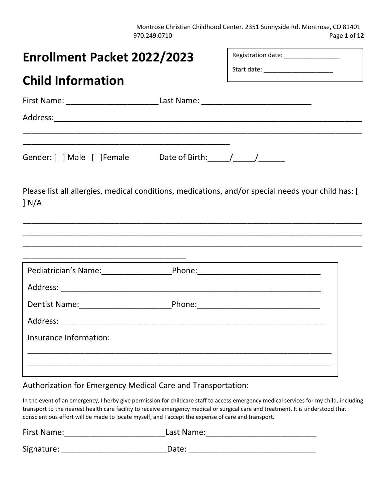Montrose Christian Childhood Center. 2351 Sunnyside Rd. Montrose, CO 81401 970.249.0710 Page **1** of **12**

| <b>Enrollment Packet 2022/2023</b>                                                | Registration date: __________________                                                              |
|-----------------------------------------------------------------------------------|----------------------------------------------------------------------------------------------------|
| <b>Child Information</b>                                                          |                                                                                                    |
| First Name: ________________________________Last Name: __________________________ |                                                                                                    |
|                                                                                   |                                                                                                    |
| <u> 1989 - Johann Stoff, amerikansk politiker (d. 1989)</u>                       |                                                                                                    |
| $\vert N/A \vert$                                                                 | Please list all allergies, medical conditions, medications, and/or special needs your child has: [ |
|                                                                                   |                                                                                                    |
|                                                                                   |                                                                                                    |
|                                                                                   |                                                                                                    |
|                                                                                   |                                                                                                    |
|                                                                                   |                                                                                                    |
| Insurance Information:                                                            |                                                                                                    |
|                                                                                   |                                                                                                    |
|                                                                                   |                                                                                                    |

#### Authorization for Emergency Medical Care and Transportation:

In the event of an emergency, I herby give permission for childcare staff to access emergency medical services for my child, including transport to the nearest health care facility to receive emergency medical or surgical care and treatment. It is understood that conscientious effort will be made to locate myself, and I accept the expense of care and transport.

| First Name: | Last Name: |
|-------------|------------|
| Signature:  | Date:      |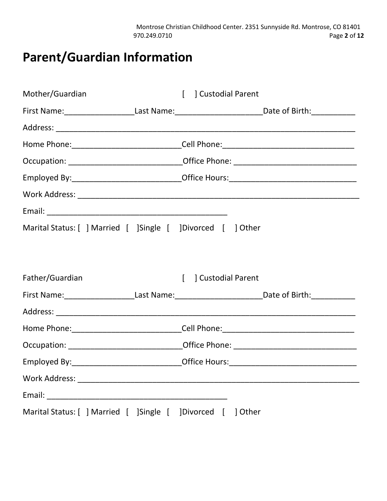Montrose Christian Childhood Center. 2351 Sunnyside Rd. Montrose, CO 81401 970.249.0710 Page **2** of **12**

# **Parent/Guardian Information**

| Mother/Guardian                                               | [ ] Custodial Parent             |                                                                                                      |
|---------------------------------------------------------------|----------------------------------|------------------------------------------------------------------------------------------------------|
|                                                               |                                  | First Name:________________________Last Name:____________________________Date of Birth:_____________ |
|                                                               |                                  |                                                                                                      |
|                                                               |                                  | Home Phone:________________________________Cell Phone:___________________________                    |
|                                                               |                                  | Occupation: ______________________________Office Phone: ________________________                     |
|                                                               |                                  | Employed By:_________________________________Office Hours:_______________________                    |
|                                                               |                                  |                                                                                                      |
|                                                               |                                  |                                                                                                      |
| Marital Status: [ ] Married [ ] Single [ ] Divorced [ ] Other |                                  |                                                                                                      |
|                                                               |                                  |                                                                                                      |
|                                                               |                                  |                                                                                                      |
| Father/Guardian                                               | $\mathbf{L}$<br>Custodial Parent |                                                                                                      |
|                                                               |                                  | First Name:________________________Last Name:____________________________Date of Birth:_____________ |
|                                                               |                                  |                                                                                                      |
|                                                               |                                  |                                                                                                      |
|                                                               |                                  | Occupation: _______________________________Office Phone: _______________________                     |
|                                                               |                                  | Employed By:_______________________________Office Hours:________________________                     |
|                                                               |                                  |                                                                                                      |
|                                                               |                                  |                                                                                                      |
| Marital Status: [ ] Married [ ] Single [ ] Divorced [ ] Other |                                  |                                                                                                      |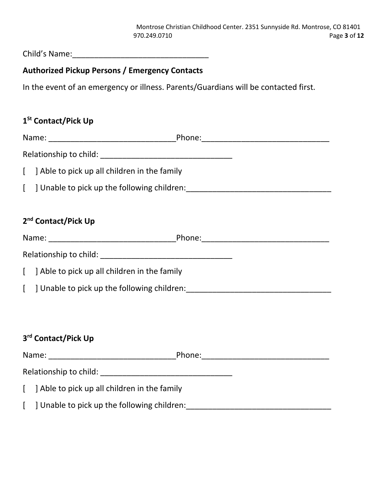| Child's Name: |
|---------------|
|               |

#### **Authorized Pickup Persons / Emergency Contacts**

In the event of an emergency or illness. Parents/Guardians will be contacted first.

#### **1 St Contact/Pick Up**

| $\mathbf{L}$ | Able to pick up all children in the family                                                   |  |
|--------------|----------------------------------------------------------------------------------------------|--|
|              | [ ] Unable to pick up the following children: [10] Unable to pick up the following children: |  |
|              |                                                                                              |  |
|              | 2 <sup>nd</sup> Contact/Pick Up                                                              |  |
|              |                                                                                              |  |
|              |                                                                                              |  |
|              | [ ] Able to pick up all children in the family                                               |  |
|              | [ ] Unable to pick up the following children:                                                |  |

#### **3 rd Contact/Pick Up**

| Phone:<br>Name:                                                                           |
|-------------------------------------------------------------------------------------------|
| Relationship to child:                                                                    |
| $\left[ \quad \right]$ Able to pick up all children in the family                         |
| $\left\{ \begin{array}{c} \end{array} \right\}$ Unable to pick up the following children: |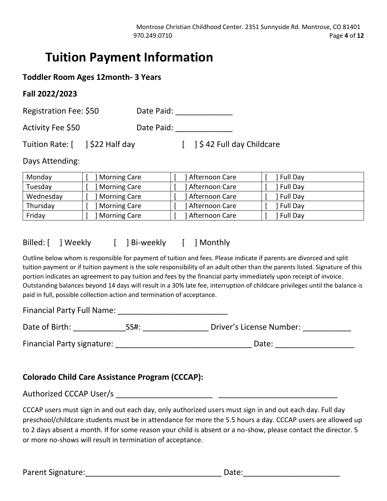## **Tuition Payment Information**

#### **Toddler Room Ages 12month- 3 Years**

#### **Fall 2022/2023**

Registration Fee: \$50 Date Paid:

Activity Fee \$50 Date Paid: \_\_\_\_\_\_\_\_\_\_\_\_\_\_

Tuition Rate: [ ] \$22 Half day [ ] \$42 Full day Childcare

#### Days Attending:

| Monday    | <b>Morning Care</b> | Afternoon Care | Full Day |
|-----------|---------------------|----------------|----------|
| Tuesday   | <b>Morning Care</b> | Afternoon Care | Full Day |
| Wednesday | <b>Morning Care</b> | Afternoon Care | Full Day |
| Thursday  | <b>Morning Care</b> | Afternoon Care | Full Day |
| Friday    | <b>Morning Care</b> | Afternoon Care | Full Day |

Billed: [ ] Weekly [ ] Bi-weekly [ ] Monthly

Outline below whom is responsible for payment of tuition and fees. Please indicate if parents are divorced and split tuition payment or if tuition payment is the sole responsibility of an adult other than the parents listed. Signature of this portion indicates an agreement to pay tuition and fees by the financial party immediately upon receipt of invoice. Outstanding balances beyond 14 days will result in a 30% late fee, interruption of childcare privileges until the balance is paid in full, possible collection action and termination of acceptance.

Financial Party Full Name: **Example 2018** 

Date of Birth: \_\_\_\_\_\_\_\_\_\_\_\_SS#: \_\_\_\_\_\_\_\_\_\_\_\_\_\_\_ Driver's License Number: \_\_\_\_\_\_\_\_\_\_\_

Financial Party signature: \_\_\_\_\_\_\_\_\_\_\_\_\_\_\_\_\_\_\_\_\_\_\_\_\_\_\_\_\_\_\_ Date: \_\_\_\_\_\_\_\_\_\_\_\_\_\_\_\_\_\_

#### **Colorado Child Care Assistance Program (CCCAP):**

Authorized CCCAP User/s \_\_\_\_\_\_\_\_\_\_\_\_\_\_\_\_\_\_\_\_\_\_ \_\_\_\_\_\_\_\_\_\_\_\_\_\_\_\_\_\_\_\_\_\_\_\_\_\_\_

CCCAP users must sign in and out each day, only authorized users must sign in and out each day. Full day preschool/childcare students must be in attendance for more the 5.5 hours a day. CCCAP users are allowed up to 2 days absent a month. If for some reason your child is absent or a no-show, please contact the director. 5 or more no-shows will result in termination of acceptance.

Parent Signature: The contract of the contract of the Date: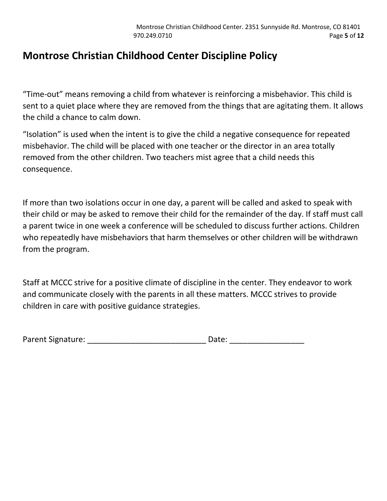### **Montrose Christian Childhood Center Discipline Policy**

"Time-out" means removing a child from whatever is reinforcing a misbehavior. This child is sent to a quiet place where they are removed from the things that are agitating them. It allows the child a chance to calm down.

"Isolation" is used when the intent is to give the child a negative consequence for repeated misbehavior. The child will be placed with one teacher or the director in an area totally removed from the other children. Two teachers mist agree that a child needs this consequence.

If more than two isolations occur in one day, a parent will be called and asked to speak with their child or may be asked to remove their child for the remainder of the day. If staff must call a parent twice in one week a conference will be scheduled to discuss further actions. Children who repeatedly have misbehaviors that harm themselves or other children will be withdrawn from the program.

Staff at MCCC strive for a positive climate of discipline in the center. They endeavor to work and communicate closely with the parents in all these matters. MCCC strives to provide children in care with positive guidance strategies.

| Parent Signature:<br>Date: |
|----------------------------|
|----------------------------|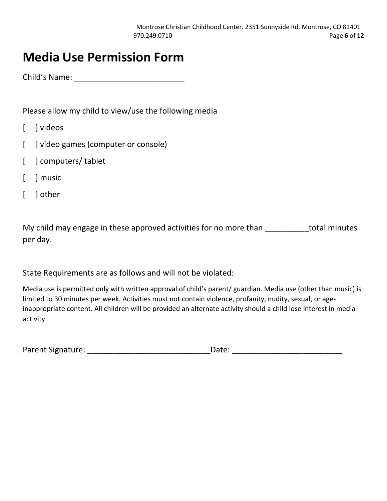# **Media Use Permission Form**

Child's Name: **Example 20** 

Please allow my child to view/use the following media

- [ ] videos
- [ ] video games (computer or console)
- [ ] computers/ tablet
- [ ] music
- [ ] other

My child may engage in these approved activities for no more than \_\_\_\_\_\_\_\_\_\_total minutes per day.

State Requirements are as follows and will not be violated:

Media use is permitted only with written approval of child's parent/ guardian. Media use (other than music) is limited to 30 minutes per week. Activities must not contain violence, profanity, nudity, sexual, or ageinappropriate content. All children will be provided an alternate activity should a child lose interest in media activity.

| Parent Signature: | Date: |
|-------------------|-------|
|-------------------|-------|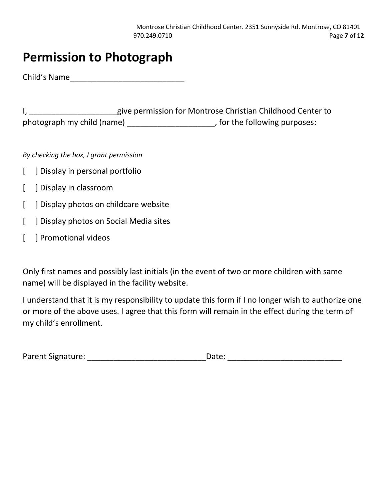### **Permission to Photograph**

Child's Name\_\_\_\_\_\_\_\_\_\_\_\_\_\_\_\_\_\_\_\_\_\_\_\_\_\_

|                            | give permission for Montrose Christian Childhood Center to |
|----------------------------|------------------------------------------------------------|
| photograph my child (name) | , for the following purposes:                              |

*By checking the box, I grant permission* 

- [ ] Display in personal portfolio
- [ ] Display in classroom
- [ ] Display photos on childcare website
- [ ] Display photos on Social Media sites
- [ ] Promotional videos

Only first names and possibly last initials (in the event of two or more children with same name) will be displayed in the facility website.

I understand that it is my responsibility to update this form if I no longer wish to authorize one or more of the above uses. I agree that this form will remain in the effect during the term of my child's enrollment.

| Parent Signature: | Date: |  |
|-------------------|-------|--|
|                   |       |  |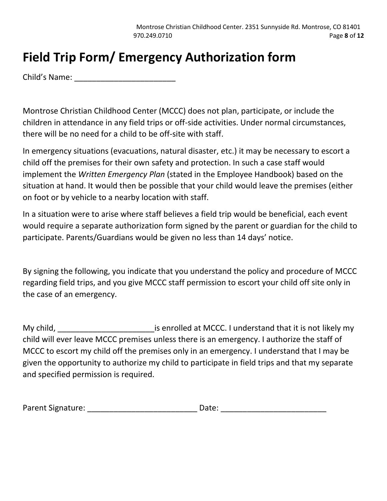# **Field Trip Form/ Emergency Authorization form**

Child's Name: \_\_\_\_\_\_\_\_\_\_\_\_\_\_\_\_\_\_\_\_\_\_\_

Montrose Christian Childhood Center (MCCC) does not plan, participate, or include the children in attendance in any field trips or off-side activities. Under normal circumstances, there will be no need for a child to be off-site with staff.

In emergency situations (evacuations, natural disaster, etc.) it may be necessary to escort a child off the premises for their own safety and protection. In such a case staff would implement the *Written Emergency Plan* (stated in the Employee Handbook) based on the situation at hand. It would then be possible that your child would leave the premises (either on foot or by vehicle to a nearby location with staff.

In a situation were to arise where staff believes a field trip would be beneficial, each event would require a separate authorization form signed by the parent or guardian for the child to participate. Parents/Guardians would be given no less than 14 days' notice.

By signing the following, you indicate that you understand the policy and procedure of MCCC regarding field trips, and you give MCCC staff permission to escort your child off site only in the case of an emergency.

My child, My child,  $\blacksquare$  is enrolled at MCCC. I understand that it is not likely my child will ever leave MCCC premises unless there is an emergency. I authorize the staff of MCCC to escort my child off the premises only in an emergency. I understand that I may be given the opportunity to authorize my child to participate in field trips and that my separate and specified permission is required.

| Parent Signature: |  | Date: |
|-------------------|--|-------|
|-------------------|--|-------|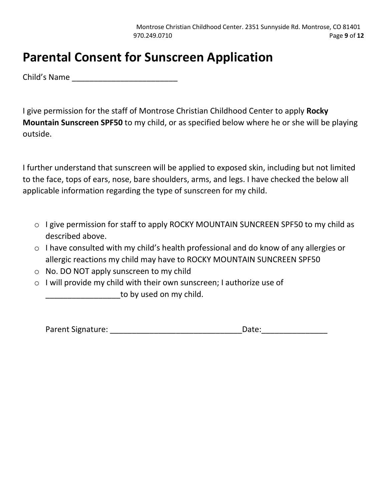# **Parental Consent for Sunscreen Application**

Child's Name \_\_\_\_\_\_\_\_\_\_\_\_\_\_\_\_\_\_\_\_\_\_\_\_

I give permission for the staff of Montrose Christian Childhood Center to apply **Rocky Mountain Sunscreen SPF50** to my child, or as specified below where he or she will be playing outside.

I further understand that sunscreen will be applied to exposed skin, including but not limited to the face, tops of ears, nose, bare shoulders, arms, and legs. I have checked the below all applicable information regarding the type of sunscreen for my child.

- o I give permission for staff to apply ROCKY MOUNTAIN SUNCREEN SPF50 to my child as described above.
- o I have consulted with my child's health professional and do know of any allergies or allergic reactions my child may have to ROCKY MOUNTAIN SUNCREEN SPF50
- o No. DO NOT apply sunscreen to my child
- o I will provide my child with their own sunscreen; I authorize use of to by used on my child.

Parent Signature: \_\_\_\_\_\_\_\_\_\_\_\_\_\_\_\_\_\_\_\_\_\_\_\_\_\_\_\_\_\_Date:\_\_\_\_\_\_\_\_\_\_\_\_\_\_\_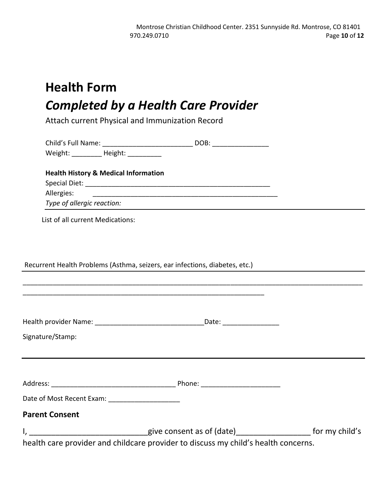# **Health Form** *Completed by a Health Care Provider*

Attach current Physical and Immunization Record

| Child's Full Name: __________ |                                                 | DOB: |  |
|-------------------------------|-------------------------------------------------|------|--|
|                               | Weight: Height:                                 |      |  |
|                               | <b>Health History &amp; Medical Information</b> |      |  |
| Special Diet:                 |                                                 |      |  |
| Allergies:                    |                                                 |      |  |
| Type of allergic reaction:    |                                                 |      |  |

List of all current Medications:

Recurrent Health Problems (Asthma, seizers, ear infections, diabetes, etc.)

| Signature/Stamp:                                 |                                                                                                                                                                                        |  |
|--------------------------------------------------|----------------------------------------------------------------------------------------------------------------------------------------------------------------------------------------|--|
|                                                  |                                                                                                                                                                                        |  |
| Date of Most Recent Exam: ______________________ |                                                                                                                                                                                        |  |
| <b>Parent Consent</b>                            |                                                                                                                                                                                        |  |
|                                                  | I, ________________________________give consent as of (date)_____________________ for my child's<br>health care provider and childcare provider to discuss my child's health concerns. |  |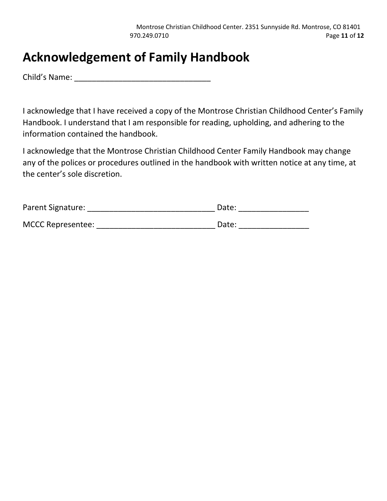# **Acknowledgement of Family Handbook**

Child's Name: **We are all that the contract of the contract of the contract of the contract of the contract of the contract of the contract of the contract of the contract of the contract of the contract of the contract of** 

I acknowledge that I have received a copy of the Montrose Christian Childhood Center's Family Handbook. I understand that I am responsible for reading, upholding, and adhering to the information contained the handbook.

I acknowledge that the Montrose Christian Childhood Center Family Handbook may change any of the polices or procedures outlined in the handbook with written notice at any time, at the center's sole discretion.

| Parent Signature:        | Date: |
|--------------------------|-------|
| <b>MCCC Representee:</b> | Date: |